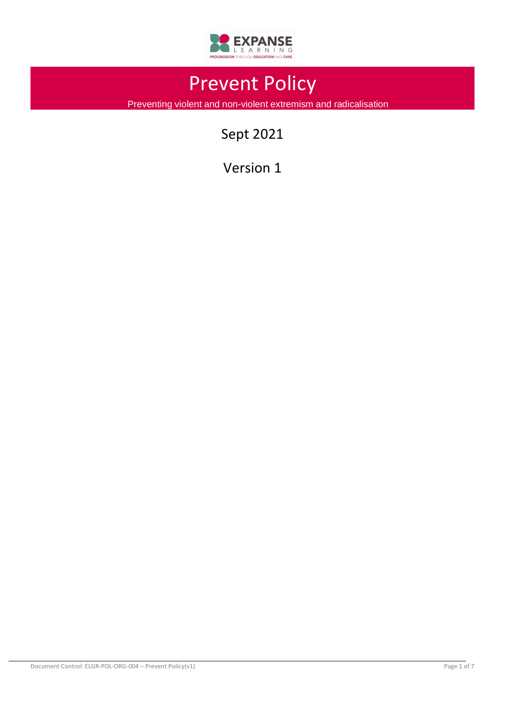

# Prevent Policy

Preventing violent and non-violent extremism and radicalisation

Sept 2021

Version 1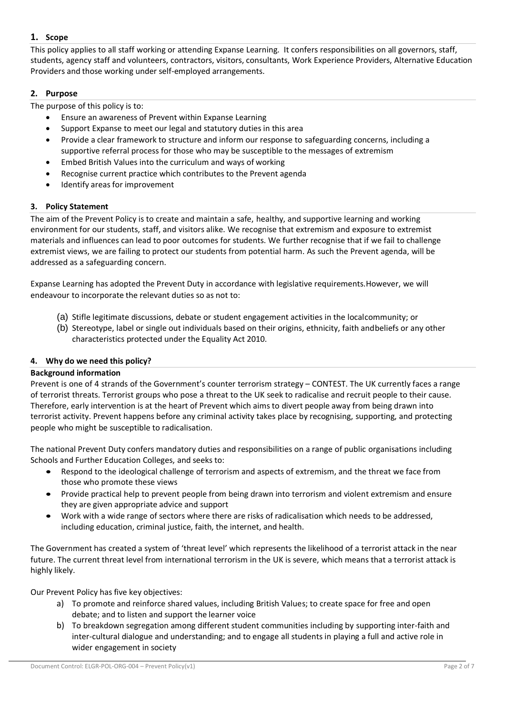# **1. Scope**

This policy applies to all staff working or attending Expanse Learning. It confers responsibilities on all governors, staff, students, agency staff and volunteers, contractors, visitors, consultants, Work Experience Providers, Alternative Education Providers and those working under self-employed arrangements.

# **2. Purpose**

The purpose of this policy is to:

- Ensure an awareness of Prevent within Expanse Learning
- Support Expanse to meet our legal and statutory duties in this area
- Provide a clear framework to structure and inform our response to safeguarding concerns, including a supportive referral process for those who may be susceptible to the messages of extremism
- Embed British Values into the curriculum and ways of working
- Recognise current practice which contributes to the Prevent agenda
- Identify areas for improvement

## **3. Policy Statement**

The aim of the Prevent Policy is to create and maintain a safe, healthy, and supportive learning and working environment for our students, staff, and visitors alike. We recognise that extremism and exposure to extremist materials and influences can lead to poor outcomes for students. We further recognise that if we fail to challenge extremist views, we are failing to protect our students from potential harm. As such the Prevent agenda, will be addressed as a safeguarding concern.

Expanse Learning has adopted the Prevent Duty in accordance with legislative requirements.However, we will endeavour to incorporate the relevant duties so as not to:

- (a) Stifle legitimate discussions, debate or student engagement activities in the localcommunity; or
- (b) Stereotype, label or single out individuals based on their origins, ethnicity, faith andbeliefs or any other characteristics protected under the Equality Act 2010.

## **4. Why do we need this policy?**

## **Background information**

Prevent is one of 4 strands of the Government's counter terrorism strategy – CONTEST. The UK currently faces a range of terrorist threats. Terrorist groups who pose a threat to the UK seek to radicalise and recruit people to their cause. Therefore, early intervention is at the heart of Prevent which aims to divert people away from being drawn into terrorist activity. Prevent happens before any criminal activity takes place by recognising, supporting, and protecting people who might be susceptible to radicalisation.

The national Prevent Duty confers mandatory duties and responsibilities on a range of public organisations including Schools and Further Education Colleges, and seeks to:

- Respond to the ideological challenge of terrorism and aspects of extremism, and the threat we face from those who promote these views
- Provide practical help to prevent people from being drawn into terrorism and violent extremism and ensure they are given appropriate advice and support
- Work with a wide range of sectors where there are risks of radicalisation which needs to be addressed, including education, criminal justice, faith, the internet, and health.

The Government has created a system of 'threat level' which represents the likelihood of a terrorist attack in the near future. The current threat level from international terrorism in the UK is severe, which means that a terrorist attack is highly likely.

Our Prevent Policy has five key objectives:

- a) To promote and reinforce shared values, including British Values; to create space for free and open debate; and to listen and support the learner voice
- b) To breakdown segregation among different student communities including by supporting inter-faith and inter-cultural dialogue and understanding; and to engage all students in playing a full and active role in wider engagement in society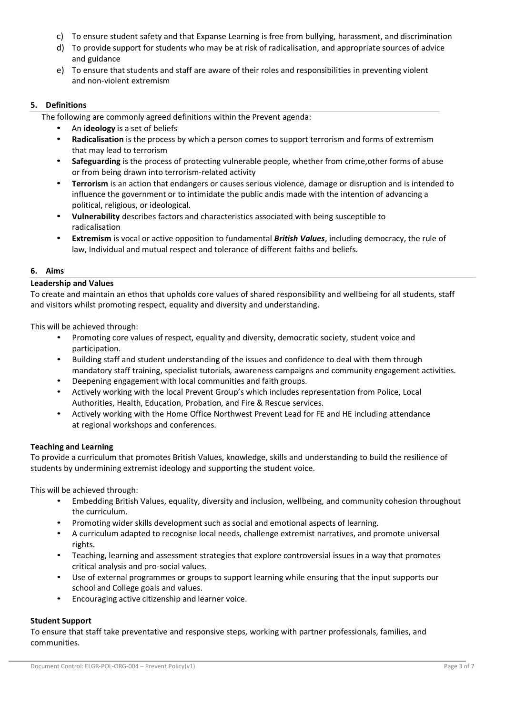- c) To ensure student safety and that Expanse Learning is free from bullying, harassment, and discrimination
- d) To provide support for students who may be at risk of radicalisation, and appropriate sources of advice and guidance
- e) To ensure that students and staff are aware of their roles and responsibilities in preventing violent and non-violent extremism

# **5. Definitions**

The following are commonly agreed definitions within the Prevent agenda:

- An **ideology** is a set of beliefs
- **Radicalisation** is the process by which a person comes to support terrorism and forms of extremism that may lead to terrorism
- **Safeguarding** is the process of protecting vulnerable people, whether from crime,other forms of abuse or from being drawn into terrorism-related activity
- **Terrorism** is an action that endangers or causes serious violence, damage or disruption and is intended to influence the government or to intimidate the public andis made with the intention of advancing a political, religious, or ideological.
- **Vulnerability** describes factors and characteristics associated with being susceptible to radicalisation
- **Extremism** is vocal or active opposition to fundamental *British Values*, including democracy, the rule of law, Individual and mutual respect and tolerance of different faiths and beliefs.

## **6. Aims**

## **Leadership and Values**

To create and maintain an ethos that upholds core values of shared responsibility and wellbeing for all students, staff and visitors whilst promoting respect, equality and diversity and understanding.

This will be achieved through:

- Promoting core values of respect, equality and diversity, democratic society, student voice and participation.
- Building staff and student understanding of the issues and confidence to deal with them through mandatory staff training, specialist tutorials, awareness campaigns and community engagement activities.
- Deepening engagement with local communities and faith groups.
- Actively working with the local Prevent Group's which includes representation from Police, Local Authorities, Health, Education, Probation, and Fire & Rescue services.
- Actively working with the Home Office Northwest Prevent Lead for FE and HE including attendance at regional workshops and conferences.

## **Teaching and Learning**

To provide a curriculum that promotes British Values, knowledge, skills and understanding to build the resilience of students by undermining extremist ideology and supporting the student voice.

This will be achieved through:

- Embedding British Values, equality, diversity and inclusion, wellbeing, and community cohesion throughout the curriculum.
- Promoting wider skills development such as social and emotional aspects of learning.
- A curriculum adapted to recognise local needs, challenge extremist narratives, and promote universal rights.
- Teaching, learning and assessment strategies that explore controversial issues in a way that promotes critical analysis and pro-social values.
- Use of external programmes or groups to support learning while ensuring that the input supports our school and College goals and values.
- Encouraging active citizenship and learner voice.

# **Student Support**

To ensure that staff take preventative and responsive steps, working with partner professionals, families, and communities.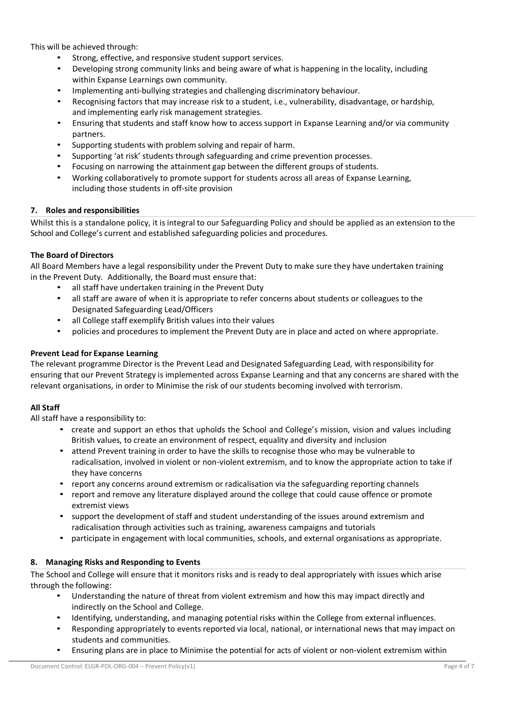This will be achieved through:

- Strong, effective, and responsive student support services.
- Developing strong community links and being aware of what is happening in the locality, including within Expanse Learnings own community.
- Implementing anti-bullying strategies and challenging discriminatory behaviour.
- Recognising factors that may increase risk to a student, i.e., vulnerability, disadvantage, or hardship, and implementing early risk management strategies.
- Ensuring that students and staff know how to access support in Expanse Learning and/or via community partners.
- Supporting students with problem solving and repair of harm.
- Supporting 'at risk' students through safeguarding and crime prevention processes.
- Focusing on narrowing the attainment gap between the different groups of students.
- Working collaboratively to promote support for students across all areas of Expanse Learning, including those students in off-site provision

## **7. Roles and responsibilities**

Whilst this is a standalone policy, it is integral to our Safeguarding Policy and should be applied as an extension to the School and College's current and established safeguarding policies and procedures.

## **The Board of Directors**

All Board Members have a legal responsibility under the Prevent Duty to make sure they have undertaken training in the Prevent Duty. Additionally, the Board must ensure that:

- all staff have undertaken training in the Prevent Duty
- all staff are aware of when it is appropriate to refer concerns about students or colleagues to the Designated Safeguarding Lead/Officers
- all College staff exemplify British values into their values
- policies and procedures to implement the Prevent Duty are in place and acted on where appropriate.

## **Prevent Lead for Expanse Learning**

The relevant programme Director is the Prevent Lead and Designated Safeguarding Lead, with responsibility for ensuring that our Prevent Strategy is implemented across Expanse Learning and that any concerns are shared with the relevant organisations, in order to Minimise the risk of our students becoming involved with terrorism.

## **All Staff**

All staff have a responsibility to:

- create and support an ethos that upholds the School and College's mission, vision and values including British values, to create an environment of respect, equality and diversity and inclusion
- attend Prevent training in order to have the skills to recognise those who may be vulnerable to radicalisation, involved in violent or non-violent extremism, and to know the appropriate action to take if they have concerns
- report any concerns around extremism or radicalisation via the safeguarding reporting channels
- report and remove any literature displayed around the college that could cause offence or promote extremist views
- support the development of staff and student understanding of the issues around extremism and radicalisation through activities such as training, awareness campaigns and tutorials
- participate in engagement with local communities, schools, and external organisations as appropriate.

## **8. Managing Risks and Responding to Events**

The School and College will ensure that it monitors risks and is ready to deal appropriately with issues which arise through the following:

- Understanding the nature of threat from violent extremism and how this may impact directly and indirectly on the School and College.
- Identifying, understanding, and managing potential risks within the College from external influences.
- Responding appropriately to events reported via local, national, or international news that may impact on students and communities.
- Ensuring plans are in place to Minimise the potential for acts of violent or non-violent extremism within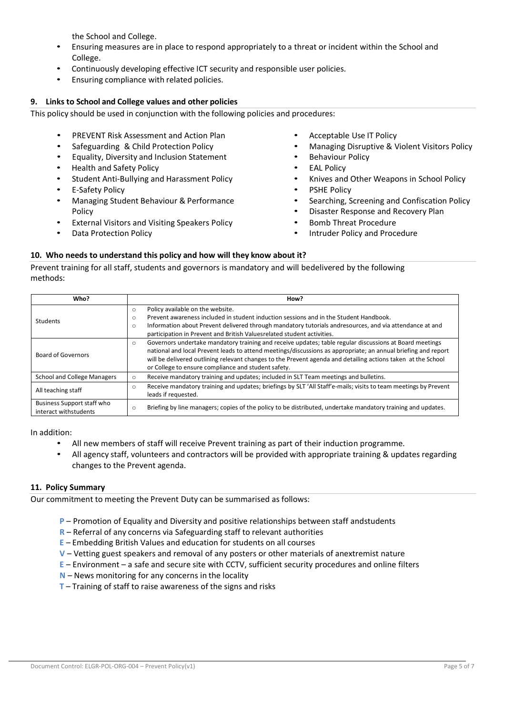the School and College.

- Ensuring measures are in place to respond appropriately to a threat or incident within the School and College.
- Continuously developing effective ICT security and responsible user policies.
- Ensuring compliance with related policies.

## **9. Links to School and College values and other policies**

This policy should be used in conjunction with the following policies and procedures:

- PREVENT Risk Assessment and Action Plan
- Safeguarding & Child Protection Policy
- Equality, Diversity and Inclusion Statement
- Health and Safety Policy
- Student Anti-Bullying and Harassment Policy • E-Safety Policy
- Managing Student Behaviour & Performance Policy
- External Visitors and Visiting Speakers Policy
- Data Protection Policy
- Acceptable Use IT Policy
- Managing Disruptive & Violent Visitors Policy
- Behaviour Policy
- **EAL Policy**
- Knives and Other Weapons in School Policy
- PSHE Policy
- Searching, Screening and Confiscation Policy
- Disaster Response and Recovery Plan
- Bomb Threat Procedure
- Intruder Policy and Procedure

## **10. Who needs to understand this policy and how will they know about it?**

Prevent training for all staff, students and governors is mandatory and will bedelivered by the following methods:

| Who?                                                | How?                                                                                                                                                                                                                                                                                                                                                                                                       |  |  |
|-----------------------------------------------------|------------------------------------------------------------------------------------------------------------------------------------------------------------------------------------------------------------------------------------------------------------------------------------------------------------------------------------------------------------------------------------------------------------|--|--|
| Students                                            | Policy available on the website.<br>$\circ$<br>Prevent awareness included in student induction sessions and in the Student Handbook.<br>$\circ$<br>Information about Prevent delivered through mandatory tutorials andresources, and via attendance at and<br>$\circ$<br>participation in Prevent and British Values related student activities.                                                           |  |  |
| <b>Board of Governors</b>                           | Governors undertake mandatory training and receive updates; table regular discussions at Board meetings<br>$\circ$<br>national and local Prevent leads to attend meetings/discussions as appropriate; an annual briefing and report<br>will be delivered outlining relevant changes to the Prevent agenda and detailing actions taken at the School<br>or College to ensure compliance and student safety. |  |  |
| <b>School and College Managers</b>                  | Receive mandatory training and updates; included in SLT Team meetings and bulletins.<br>$\circ$                                                                                                                                                                                                                                                                                                            |  |  |
| All teaching staff                                  | Receive mandatory training and updates; briefings by SLT 'All Staff'e-mails; visits to team meetings by Prevent<br>$\circ$<br>leads if requested.                                                                                                                                                                                                                                                          |  |  |
| Business Support staff who<br>interact withstudents | Briefing by line managers; copies of the policy to be distributed, undertake mandatory training and updates.<br>$\circ$                                                                                                                                                                                                                                                                                    |  |  |

In addition:

- All new members of staff will receive Prevent training as part of their induction programme.
- All agency staff, volunteers and contractors will be provided with appropriate training & updates regarding changes to the Prevent agenda.

### **11. Policy Summary**

Our commitment to meeting the Prevent Duty can be summarised as follows:

- **P**  Promotion of Equality and Diversity and positive relationships between staff andstudents
- **R** Referral of any concerns via Safeguarding staff to relevant authorities
- **E** Embedding British Values and education for students on all courses
- **V**  Vetting guest speakers and removal of any posters or other materials of anextremist nature
- **E**  Environment a safe and secure site with CCTV, sufficient security procedures and online filters
- **N** News monitoring for any concerns in the locality
- **T** Training of staff to raise awareness of the signs and risks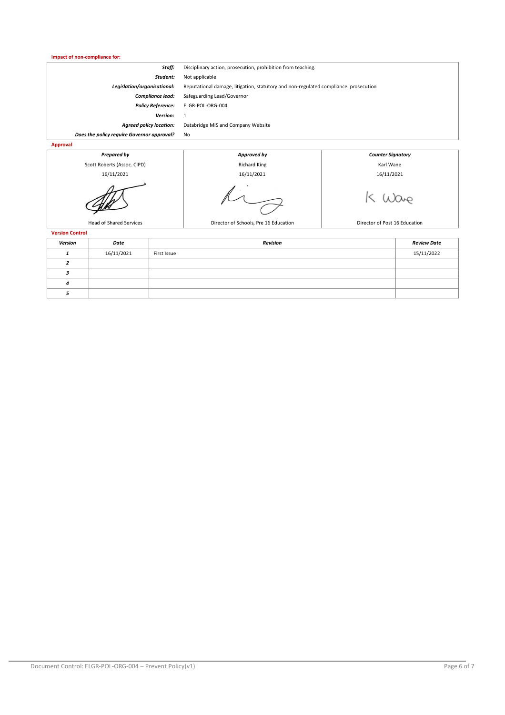**Impact of non-compliance for:**

| Staff:                                     | Disciplinary action, prosecution, prohibition from teaching.                         |
|--------------------------------------------|--------------------------------------------------------------------------------------|
| Student:                                   | Not applicable                                                                       |
| Legislation/organisational:                | Reputational damage, litigation, statutory and non-regulated compliance, prosecution |
| <b>Compliance lead:</b>                    | Safeguarding Lead/Governor                                                           |
| <b>Policy Reference:</b>                   | ELGR-POL-ORG-004                                                                     |
| Version:                                   |                                                                                      |
| <b>Agreed policy location:</b>             | Databridge MIS and Company Website                                                   |
| Does the policy require Governor approval? | No                                                                                   |
| Approval                                   |                                                                                      |



**Version Control**

| <b>VEISION CONTROL</b> |            |             |                    |  |
|------------------------|------------|-------------|--------------------|--|
| Version                | Date       | Revision    | <b>Review Date</b> |  |
|                        | 16/11/2021 | First Issue | 15/11/2022         |  |
|                        |            |             |                    |  |
|                        |            |             |                    |  |
| $\boldsymbol{a}$       |            |             |                    |  |
|                        |            |             |                    |  |